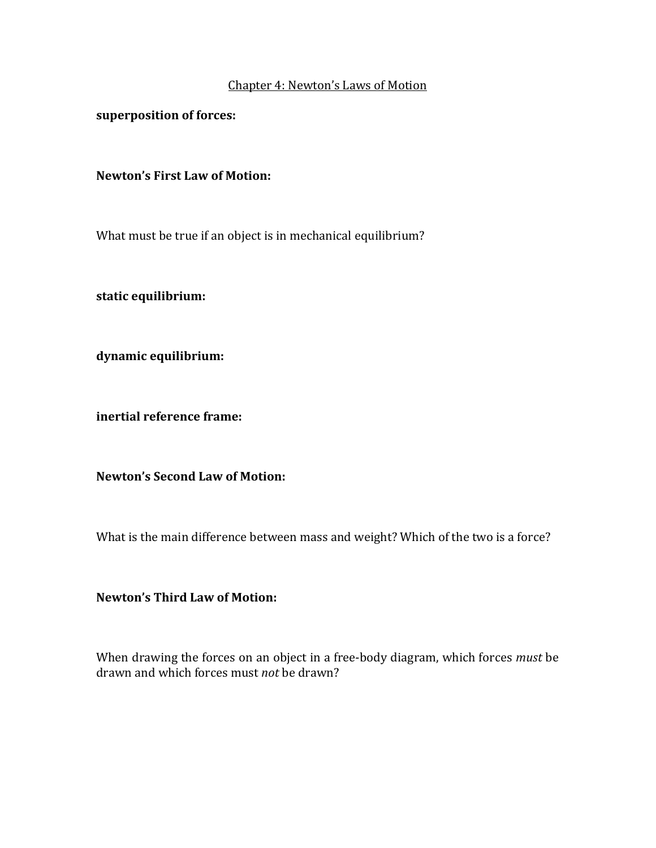### Chapter 4: Newton's Laws of Motion

superposition of forces:

### **Newton's First Law of Motion:**

What must be true if an object is in mechanical equilibrium?

**static equilibrium:**

**dynamic equilibrium:**

**inertial reference frame:**

**Newton's Second Law of Motion:**

What is the main difference between mass and weight? Which of the two is a force?

## **Newton's Third Law of Motion:**

When drawing the forces on an object in a free-body diagram, which forces *must* be drawn and which forces must *not* be drawn?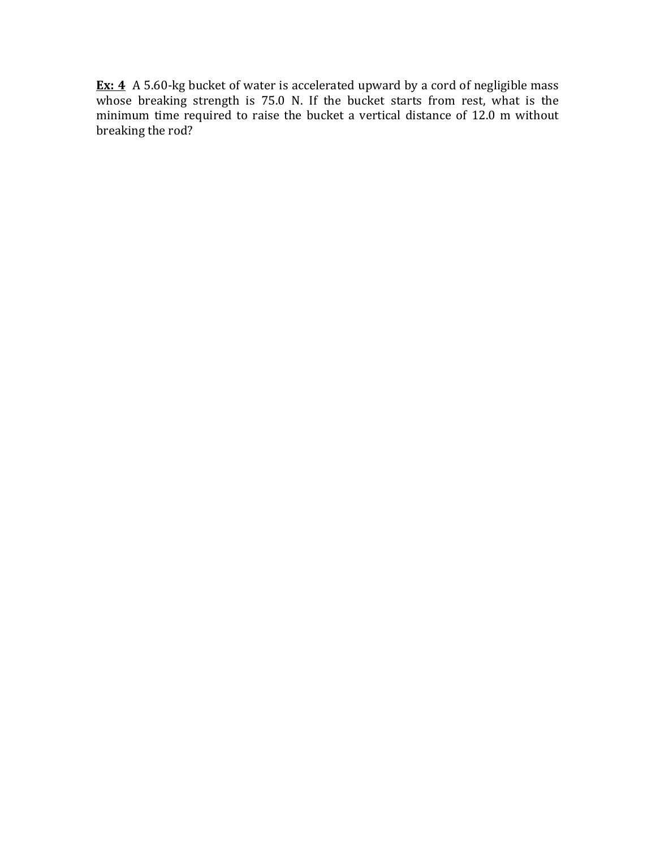**Ex: 4** A 5.60-kg bucket of water is accelerated upward by a cord of negligible mass whose breaking strength is 75.0 N. If the bucket starts from rest, what is the minimum time required to raise the bucket a vertical distance of  $12.0 \text{ m}$  without breaking the rod?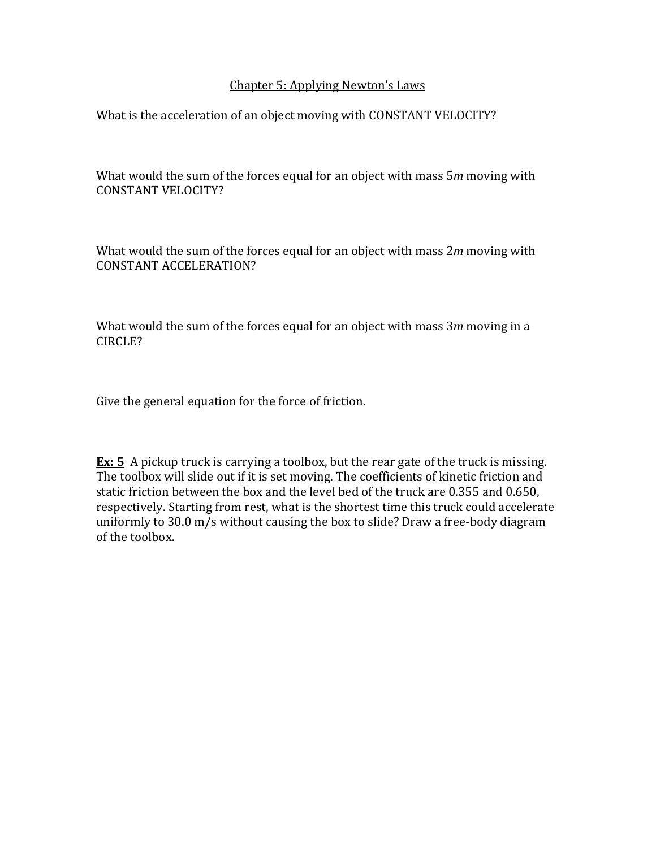## Chapter 5: Applying Newton's Laws

What is the acceleration of an object moving with CONSTANT VELOCITY?

What would the sum of the forces equal for an object with mass 5m moving with CONSTANT VELOCITY?

What would the sum of the forces equal for an object with mass 2m moving with CONSTANT ACCELERATION?

What would the sum of the forces equal for an object with mass 3m moving in a CIRCLE?

Give the general equation for the force of friction.

**Ex: 5** A pickup truck is carrying a toolbox, but the rear gate of the truck is missing. The toolbox will slide out if it is set moving. The coefficients of kinetic friction and static friction between the box and the level bed of the truck are 0.355 and 0.650, respectively. Starting from rest, what is the shortest time this truck could accelerate uniformly to  $30.0 \text{ m/s}$  without causing the box to slide? Draw a free-body diagram of the toolbox.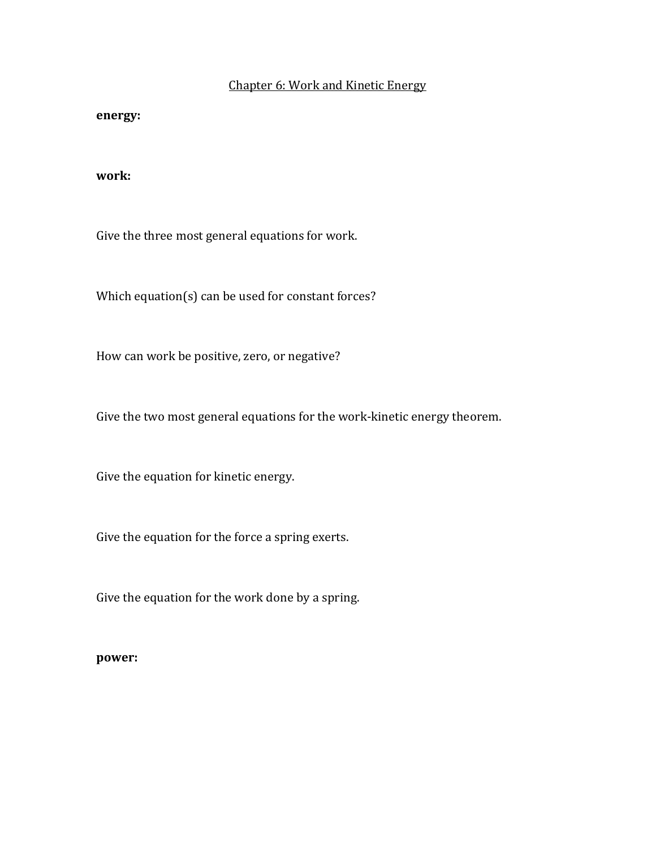# Chapter 6: Work and Kinetic Energy

#### **energy:**

### **work:**

Give the three most general equations for work.

Which equation(s) can be used for constant forces?

How can work be positive, zero, or negative?

Give the two most general equations for the work-kinetic energy theorem.

Give the equation for kinetic energy.

Give the equation for the force a spring exerts.

Give the equation for the work done by a spring.

### **power:**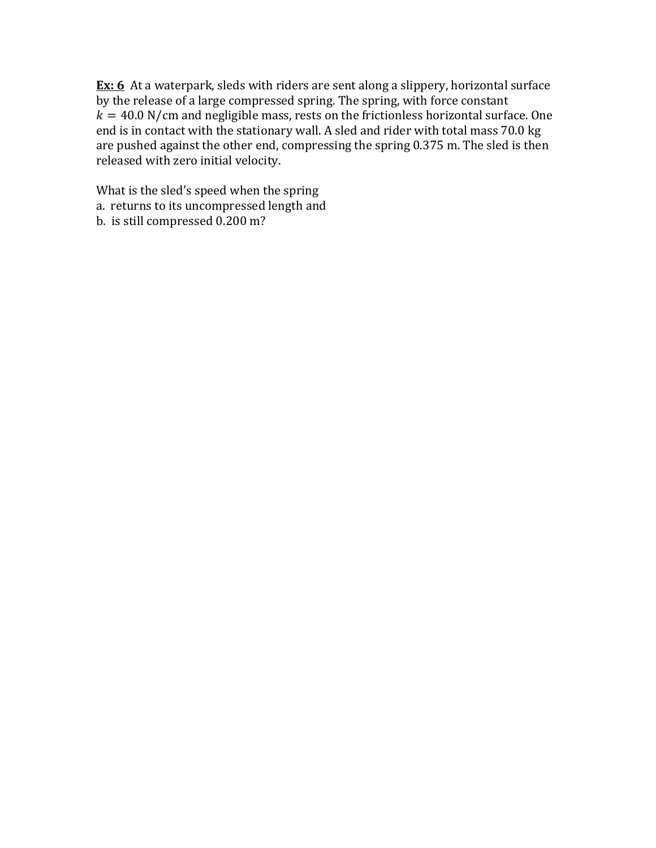**Ex:** 6 At a waterpark, sleds with riders are sent along a slippery, horizontal surface by the release of a large compressed spring. The spring, with force constant  $k = 40.0$  N/cm and negligible mass, rests on the frictionless horizontal surface. One end is in contact with the stationary wall. A sled and rider with total mass 70.0 kg are pushed against the other end, compressing the spring 0.375 m. The sled is then released with zero initial velocity.

What is the sled's speed when the spring a. returns to its uncompressed length and b. is still compressed 0.200 m?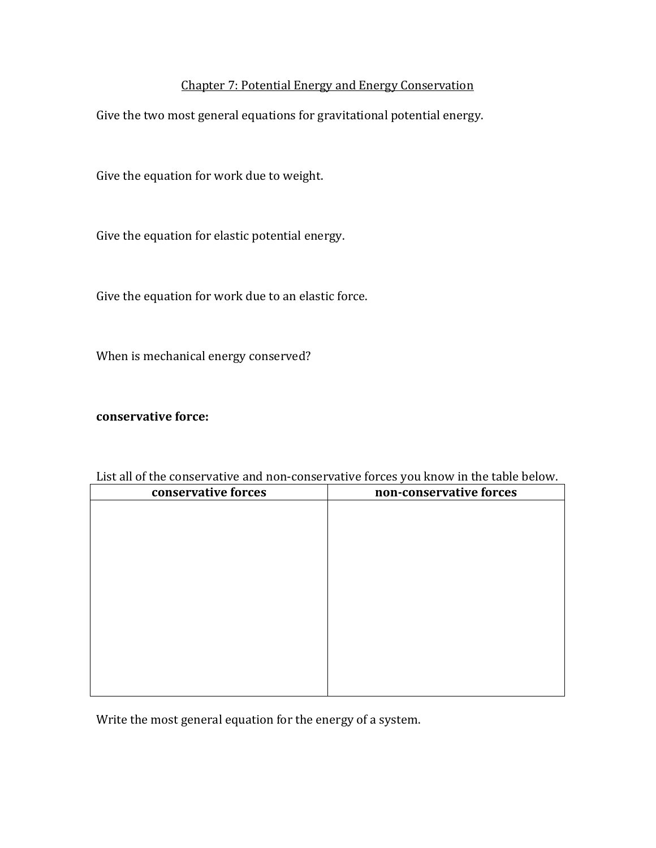# Chapter 7: Potential Energy and Energy Conservation

Give the two most general equations for gravitational potential energy.

Give the equation for work due to weight.

Give the equation for elastic potential energy.

Give the equation for work due to an elastic force.

When is mechanical energy conserved?

### **conservative force:**

| conservative forces | non-conservative forces |
|---------------------|-------------------------|
|                     |                         |
|                     |                         |
|                     |                         |
|                     |                         |
|                     |                         |
|                     |                         |
|                     |                         |
|                     |                         |
|                     |                         |
|                     |                         |
|                     |                         |
|                     |                         |

List all of the conservative and non-conservative forces you know in the table below.

Write the most general equation for the energy of a system.